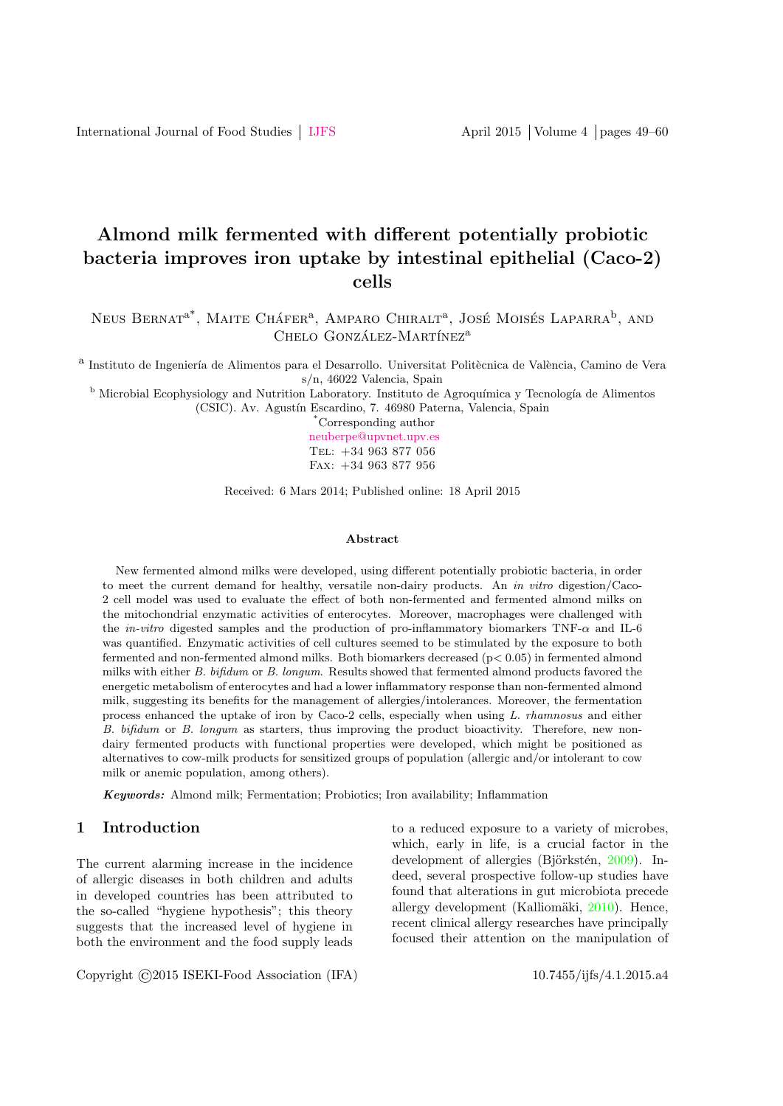# Almond milk fermented with different potentially probiotic bacteria improves iron uptake by intestinal epithelial (Caco-2) cells

Neus Bernat<sup>a\*</sup>, Maite Cháfer<sup>a</sup>, Amparo Chiralt<sup>a</sup>, José Moisés Laparra<sup>b</sup>, and CHELO GONZÁLEZ-MARTÍNEZ<sup>a</sup>

<sup>a</sup> Instituto de Ingeniería de Alimentos para el Desarrollo. Universitat Politècnica de València, Camino de Vera s/n, 46022 Valencia, Spain

<sup>b</sup> Microbial Ecophysiology and Nutrition Laboratory. Instituto de Agroquímica y Tecnología de Alimentos (CSIC). Av. Agustín Escardino, 7. 46980 Paterna, Valencia, Spain

> \*Corresponding author [neuberpe@upvnet.upv.es](mailto: neuberpe@upvnet.upv.es) Tel: +34 963 877 056 Fax: +34 963 877 956

Received: 6 Mars 2014; Published online: 18 April 2015

#### Abstract

New fermented almond milks were developed, using different potentially probiotic bacteria, in order to meet the current demand for healthy, versatile non-dairy products. An in vitro digestion/Caco-2 cell model was used to evaluate the effect of both non-fermented and fermented almond milks on the mitochondrial enzymatic activities of enterocytes. Moreover, macrophages were challenged with the in-vitro digested samples and the production of pro-inflammatory biomarkers TNF-α and IL-6 was quantified. Enzymatic activities of cell cultures seemed to be stimulated by the exposure to both fermented and non-fermented almond milks. Both biomarkers decreased ( $p < 0.05$ ) in fermented almond milks with either B. bifidum or B. longum. Results showed that fermented almond products favored the energetic metabolism of enterocytes and had a lower inflammatory response than non-fermented almond milk, suggesting its benefits for the management of allergies/intolerances. Moreover, the fermentation process enhanced the uptake of iron by Caco-2 cells, especially when using L. rhamnosus and either B. bifidum or B. longum as starters, thus improving the product bioactivity. Therefore, new nondairy fermented products with functional properties were developed, which might be positioned as alternatives to cow-milk products for sensitized groups of population (allergic and/or intolerant to cow milk or anemic population, among others).

Keywords: Almond milk; Fermentation; Probiotics; Iron availability; Inflammation

#### 1 Introduction

The current alarming increase in the incidence of allergic diseases in both children and adults in developed countries has been attributed to the so-called "hygiene hypothesis"; this theory suggests that the increased level of hygiene in both the environment and the food supply leads

Copyright ©2015 ISEKI-Food Association (IFA) 10.7455/ijfs/4.1.2015.a4

to a reduced exposure to a variety of microbes, which, early in life, is a crucial factor in the development of allergies (Björkstén,  $2009$ ). Indeed, several prospective follow-up studies have found that alterations in gut microbiota precede allergy development (Kalliomäki,  $2010$ ). Hence, recent clinical allergy researches have principally focused their attention on the manipulation of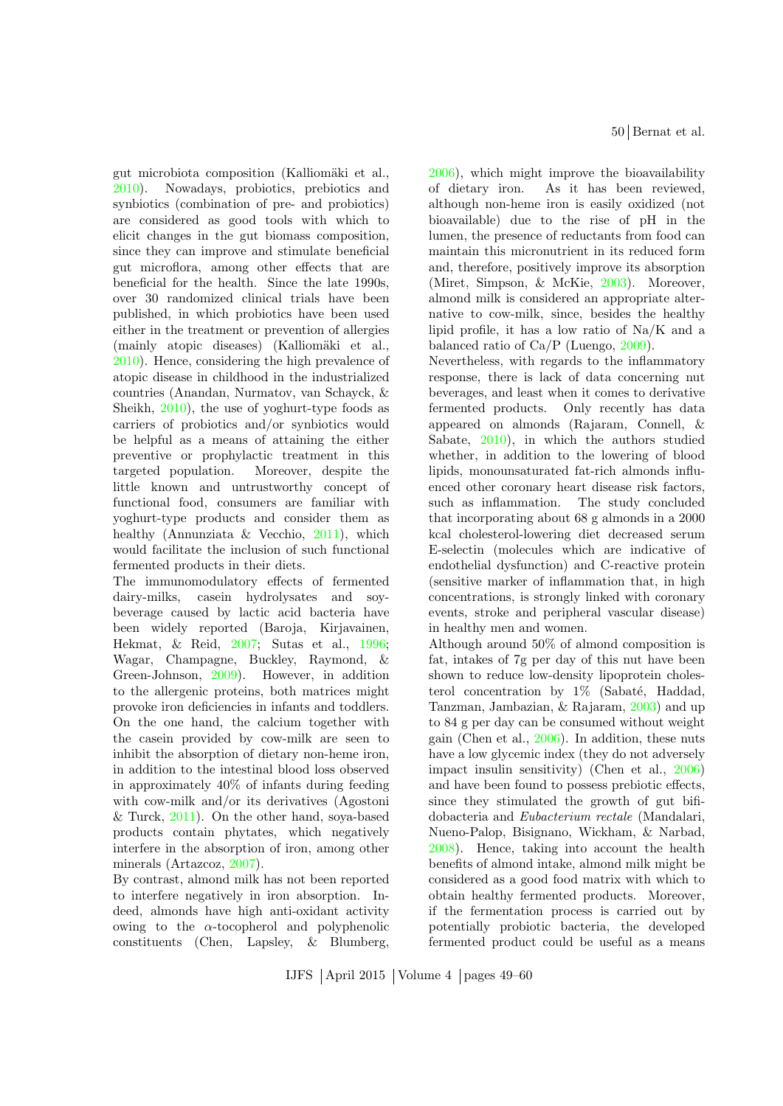gut microbiota composition (Kalliomäki et al., [2010\)](#page-10-1). Nowadays, probiotics, prebiotics and synbiotics (combination of pre- and probiotics) are considered as good tools with which to elicit changes in the gut biomass composition, since they can improve and stimulate beneficial gut microflora, among other effects that are beneficial for the health. Since the late 1990s, over 30 randomized clinical trials have been published, in which probiotics have been used either in the treatment or prevention of allergies (mainly atopic diseases) (Kalliomäki et al., [2010\)](#page-10-1). Hence, considering the high prevalence of atopic disease in childhood in the industrialized countries (Anandan, Nurmatov, van Schayck, & Sheikh, [2010\)](#page-9-1), the use of yoghurt-type foods as carriers of probiotics and/or synbiotics would be helpful as a means of attaining the either preventive or prophylactic treatment in this targeted population. Moreover, despite the little known and untrustworthy concept of functional food, consumers are familiar with yoghurt-type products and consider them as healthy (Annunziata & Vecchio, [2011\)](#page-9-2), which would facilitate the inclusion of such functional fermented products in their diets.

The immunomodulatory effects of fermented dairy-milks, casein hydrolysates and soybeverage caused by lactic acid bacteria have been widely reported (Baroja, Kirjavainen, Hekmat, & Reid, [2007;](#page-9-3) Sutas et al., [1996;](#page-11-0) Wagar, Champagne, Buckley, Raymond, & Green-Johnson, [2009\)](#page-11-1). However, in addition to the allergenic proteins, both matrices might provoke iron deficiencies in infants and toddlers. On the one hand, the calcium together with the casein provided by cow-milk are seen to inhibit the absorption of dietary non-heme iron, in addition to the intestinal blood loss observed in approximately 40% of infants during feeding with cow-milk and/or its derivatives (Agostoni & Turck,  $2011$ ). On the other hand, soya-based products contain phytates, which negatively interfere in the absorption of iron, among other minerals (Artazcoz, [2007\)](#page-9-5).

By contrast, almond milk has not been reported to interfere negatively in iron absorption. Indeed, almonds have high anti-oxidant activity owing to the  $\alpha$ -tocopherol and polyphenolic constituents (Chen, Lapsley, & Blumberg, [2006\)](#page-9-6), which might improve the bioavailability of dietary iron. As it has been reviewed, although non-heme iron is easily oxidized (not bioavailable) due to the rise of pH in the lumen, the presence of reductants from food can maintain this micronutrient in its reduced form and, therefore, positively improve its absorption (Miret, Simpson, & McKie, [2003\)](#page-10-2). Moreover, almond milk is considered an appropriate alternative to cow-milk, since, besides the healthy lipid profile, it has a low ratio of Na/K and a balanced ratio of Ca/P (Luengo, [2009\)](#page-10-3).

Nevertheless, with regards to the inflammatory response, there is lack of data concerning nut beverages, and least when it comes to derivative fermented products. Only recently has data appeared on almonds (Rajaram, Connell, & Sabate, [2010\)](#page-11-2), in which the authors studied whether, in addition to the lowering of blood lipids, monounsaturated fat-rich almonds influenced other coronary heart disease risk factors, such as inflammation. The study concluded that incorporating about 68 g almonds in a 2000 kcal cholesterol-lowering diet decreased serum E-selectin (molecules which are indicative of endothelial dysfunction) and C-reactive protein (sensitive marker of inflammation that, in high concentrations, is strongly linked with coronary events, stroke and peripheral vascular disease) in healthy men and women.

Although around 50% of almond composition is fat, intakes of 7g per day of this nut have been shown to reduce low-density lipoprotein cholesterol concentration by  $1\%$  (Sabaté, Haddad, Tanzman, Jambazian, & Rajaram, [2003\)](#page-11-3) and up to 84 g per day can be consumed without weight gain (Chen et al., [2006\)](#page-9-6). In addition, these nuts have a low glycemic index (they do not adversely impact insulin sensitivity) (Chen et al., [2006\)](#page-9-6) and have been found to possess prebiotic effects, since they stimulated the growth of gut bifidobacteria and Eubacterium rectale (Mandalari, Nueno-Palop, Bisignano, Wickham, & Narbad, [2008\)](#page-10-4). Hence, taking into account the health benefits of almond intake, almond milk might be considered as a good food matrix with which to obtain healthy fermented products. Moreover, if the fermentation process is carried out by potentially probiotic bacteria, the developed fermented product could be useful as a means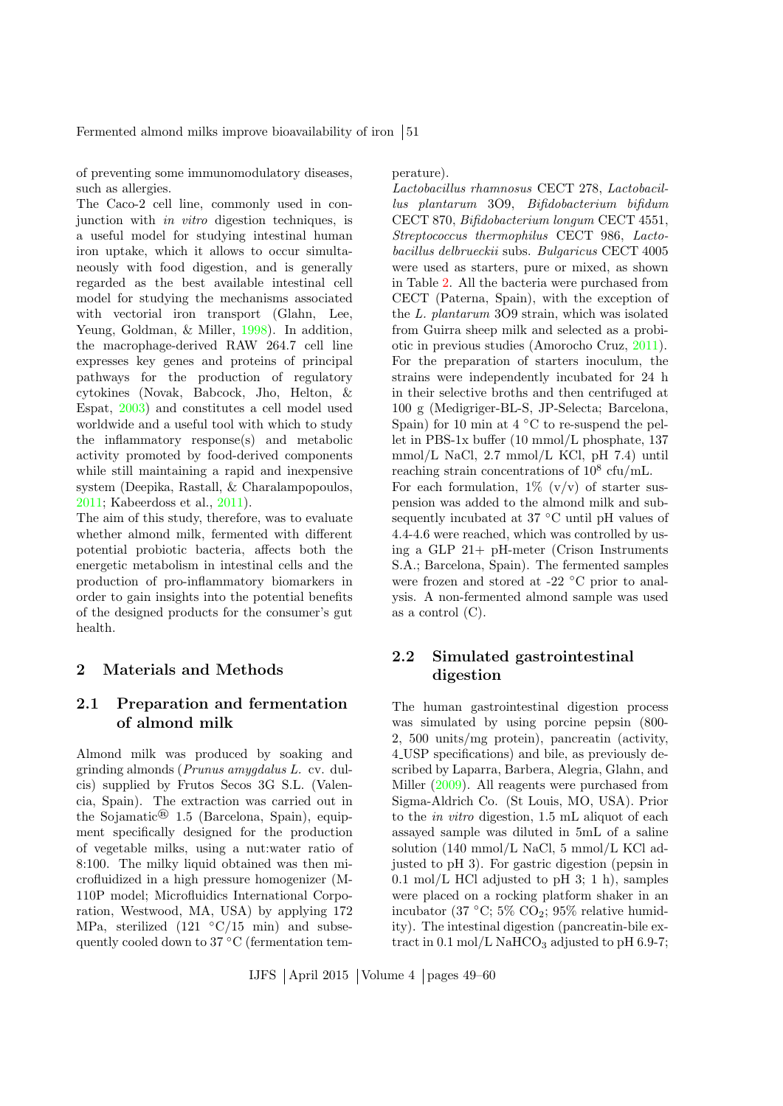Fermented almond milks improve bioavailability of iron  $\vert 51 \rangle$ 

of preventing some immunomodulatory diseases, such as allergies.

The Caco-2 cell line, commonly used in conjunction with in vitro digestion techniques, is a useful model for studying intestinal human iron uptake, which it allows to occur simultaneously with food digestion, and is generally regarded as the best available intestinal cell model for studying the mechanisms associated with vectorial iron transport (Glahn, Lee, Yeung, Goldman, & Miller, [1998\)](#page-9-7). In addition, the macrophage-derived RAW 264.7 cell line expresses key genes and proteins of principal pathways for the production of regulatory cytokines (Novak, Babcock, Jho, Helton, & Espat, [2003\)](#page-10-5) and constitutes a cell model used worldwide and a useful tool with which to study the inflammatory response(s) and metabolic activity promoted by food-derived components while still maintaining a rapid and inexpensive system (Deepika, Rastall, & Charalampopoulos, [2011;](#page-9-8) Kabeerdoss et al., [2011\)](#page-10-6).

The aim of this study, therefore, was to evaluate whether almond milk, fermented with different potential probiotic bacteria, affects both the energetic metabolism in intestinal cells and the production of pro-inflammatory biomarkers in order to gain insights into the potential benefits of the designed products for the consumer's gut health.

#### 2 Materials and Methods

# 2.1 Preparation and fermentation of almond milk

Almond milk was produced by soaking and grinding almonds (Prunus amygdalus L. cv. dulcis) supplied by Frutos Secos 3G S.L. (Valencia, Spain). The extraction was carried out in the Sojamatic<sup>®</sup> 1.5 (Barcelona, Spain), equipment specifically designed for the production of vegetable milks, using a nut:water ratio of 8:100. The milky liquid obtained was then microfluidized in a high pressure homogenizer (M-110P model; Microfluidics International Corporation, Westwood, MA, USA) by applying 172 MPa, sterilized (121  $\degree$ C/15 min) and subsequently cooled down to 37<sup>°</sup>C (fermentation temperature).

Lactobacillus rhamnosus CECT 278, Lactobacillus plantarum 3O9, Bifidobacterium bifidum CECT 870, Bifidobacterium longum CECT 4551, Streptococcus thermophilus CECT 986, Lactobacillus delbrueckii subs. Bulgaricus CECT 4005 were used as starters, pure or mixed, as shown in Table [2.](#page-5-0) All the bacteria were purchased from CECT (Paterna, Spain), with the exception of the L. plantarum 3O9 strain, which was isolated from Guirra sheep milk and selected as a probiotic in previous studies (Amorocho Cruz, [2011\)](#page-9-9). For the preparation of starters inoculum, the strains were independently incubated for 24 h in their selective broths and then centrifuged at 100 g (Medigriger-BL-S, JP-Selecta; Barcelona, Spain) for 10 min at  $4 °C$  to re-suspend the pellet in PBS-1x buffer (10 mmol/L phosphate, 137 mmol/L NaCl, 2.7 mmol/L KCl, pH 7.4) until reaching strain concentrations of  $10^8$  cfu/mL. For each formulation,  $1\%$  (v/v) of starter suspension was added to the almond milk and subsequently incubated at 37 ◦C until pH values of 4.4-4.6 were reached, which was controlled by using a GLP 21+ pH-meter (Crison Instruments S.A.; Barcelona, Spain). The fermented samples were frozen and stored at -22 ◦C prior to analysis. A non-fermented almond sample was used as a control (C).

# 2.2 Simulated gastrointestinal digestion

The human gastrointestinal digestion process was simulated by using porcine pepsin (800- 2, 500 units/mg protein), pancreatin (activity, 4 USP specifications) and bile, as previously described by Laparra, Barbera, Alegria, Glahn, and Miller [\(2009\)](#page-10-7). All reagents were purchased from Sigma-Aldrich Co. (St Louis, MO, USA). Prior to the in vitro digestion, 1.5 mL aliquot of each assayed sample was diluted in 5mL of a saline solution (140 mmol/L NaCl, 5 mmol/L KCl adjusted to pH 3). For gastric digestion (pepsin in 0.1 mol/L HCl adjusted to pH 3; 1 h), samples were placed on a rocking platform shaker in an incubator (37  $\degree$ C; 5% CO<sub>2</sub>; 95% relative humidity). The intestinal digestion (pancreatin-bile extract in  $0.1 \text{ mol/L}$  NaHCO<sub>3</sub> adjusted to pH 6.9-7;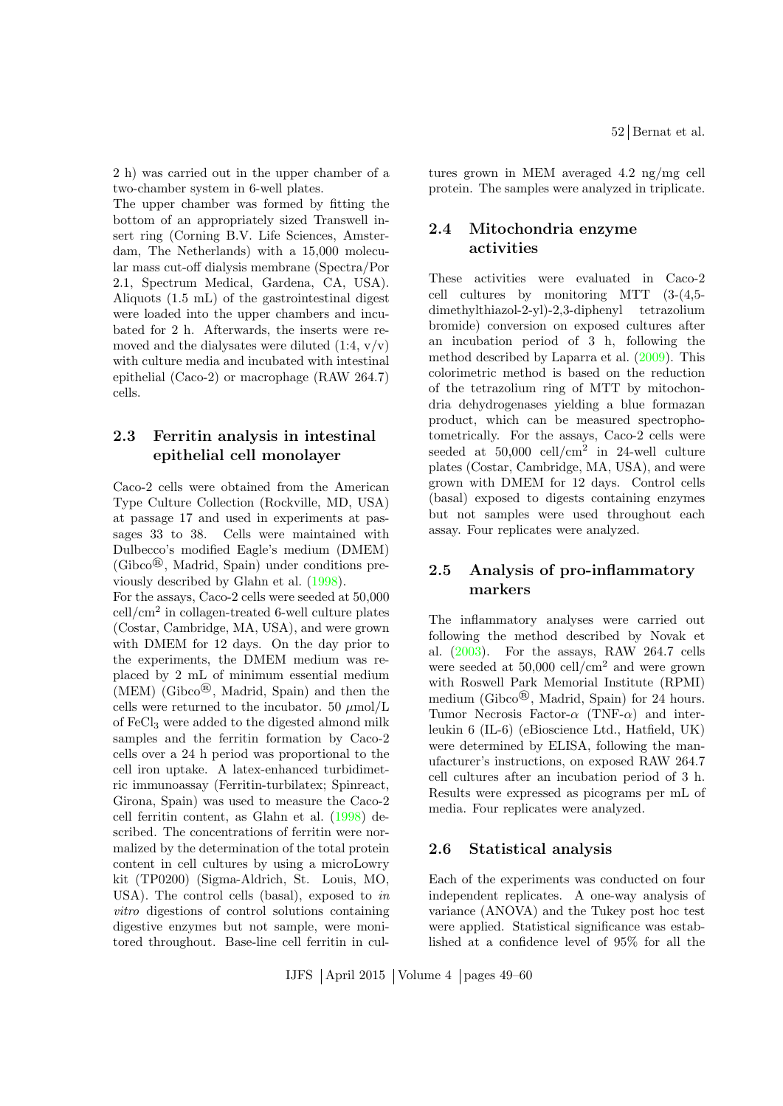2 h) was carried out in the upper chamber of a two-chamber system in 6-well plates.

The upper chamber was formed by fitting the bottom of an appropriately sized Transwell insert ring (Corning B.V. Life Sciences, Amsterdam, The Netherlands) with a 15,000 molecular mass cut-off dialysis membrane (Spectra/Por 2.1, Spectrum Medical, Gardena, CA, USA). Aliquots (1.5 mL) of the gastrointestinal digest were loaded into the upper chambers and incubated for 2 h. Afterwards, the inserts were removed and the dialysates were diluted  $(1:4, v/v)$ with culture media and incubated with intestinal epithelial (Caco-2) or macrophage (RAW 264.7) cells.

# 2.3 Ferritin analysis in intestinal epithelial cell monolayer

Caco-2 cells were obtained from the American Type Culture Collection (Rockville, MD, USA) at passage 17 and used in experiments at passages 33 to 38. Cells were maintained with Dulbecco's modified Eagle's medium (DMEM) (Gibco®, Madrid, Spain) under conditions previously described by Glahn et al. [\(1998\)](#page-9-7).

For the assays, Caco-2 cells were seeded at 50,000 cell/cm<sup>2</sup> in collagen-treated 6-well culture plates (Costar, Cambridge, MA, USA), and were grown with DMEM for 12 days. On the day prior to the experiments, the DMEM medium was replaced by 2 mL of minimum essential medium (MEM) (Gibco®, Madrid, Spain) and then the cells were returned to the incubator. 50  $\mu$ mol/L of FeCl<sup>3</sup> were added to the digested almond milk samples and the ferritin formation by Caco-2 cells over a 24 h period was proportional to the cell iron uptake. A latex-enhanced turbidimetric immunoassay (Ferritin-turbilatex; Spinreact, Girona, Spain) was used to measure the Caco-2 cell ferritin content, as Glahn et al. [\(1998\)](#page-9-7) described. The concentrations of ferritin were normalized by the determination of the total protein content in cell cultures by using a microLowry kit (TP0200) (Sigma-Aldrich, St. Louis, MO, USA). The control cells (basal), exposed to in vitro digestions of control solutions containing digestive enzymes but not sample, were monitored throughout. Base-line cell ferritin in cultures grown in MEM averaged 4.2 ng/mg cell protein. The samples were analyzed in triplicate.

### 2.4 Mitochondria enzyme activities

These activities were evaluated in Caco-2 cell cultures by monitoring MTT (3-(4,5 dimethylthiazol-2-yl)-2,3-diphenyl tetrazolium bromide) conversion on exposed cultures after an incubation period of 3 h, following the method described by Laparra et al. [\(2009\)](#page-10-7). This colorimetric method is based on the reduction of the tetrazolium ring of MTT by mitochondria dehydrogenases yielding a blue formazan product, which can be measured spectrophotometrically. For the assays, Caco-2 cells were seeded at  $50,000$  cell/cm<sup>2</sup> in 24-well culture plates (Costar, Cambridge, MA, USA), and were grown with DMEM for 12 days. Control cells (basal) exposed to digests containing enzymes but not samples were used throughout each assay. Four replicates were analyzed.

# 2.5 Analysis of pro-inflammatory markers

The inflammatory analyses were carried out following the method described by Novak et al. [\(2003\)](#page-10-5). For the assays, RAW 264.7 cells were seeded at  $50,000$  cell/cm<sup>2</sup> and were grown with Roswell Park Memorial Institute (RPMI) medium (Gibco®, Madrid, Spain) for 24 hours. Tumor Necrosis Factor- $\alpha$  (TNF- $\alpha$ ) and interleukin 6 (IL-6) (eBioscience Ltd., Hatfield, UK) were determined by ELISA, following the manufacturer's instructions, on exposed RAW 264.7 cell cultures after an incubation period of 3 h. Results were expressed as picograms per mL of media. Four replicates were analyzed.

#### 2.6 Statistical analysis

Each of the experiments was conducted on four independent replicates. A one-way analysis of variance (ANOVA) and the Tukey post hoc test were applied. Statistical significance was established at a confidence level of 95% for all the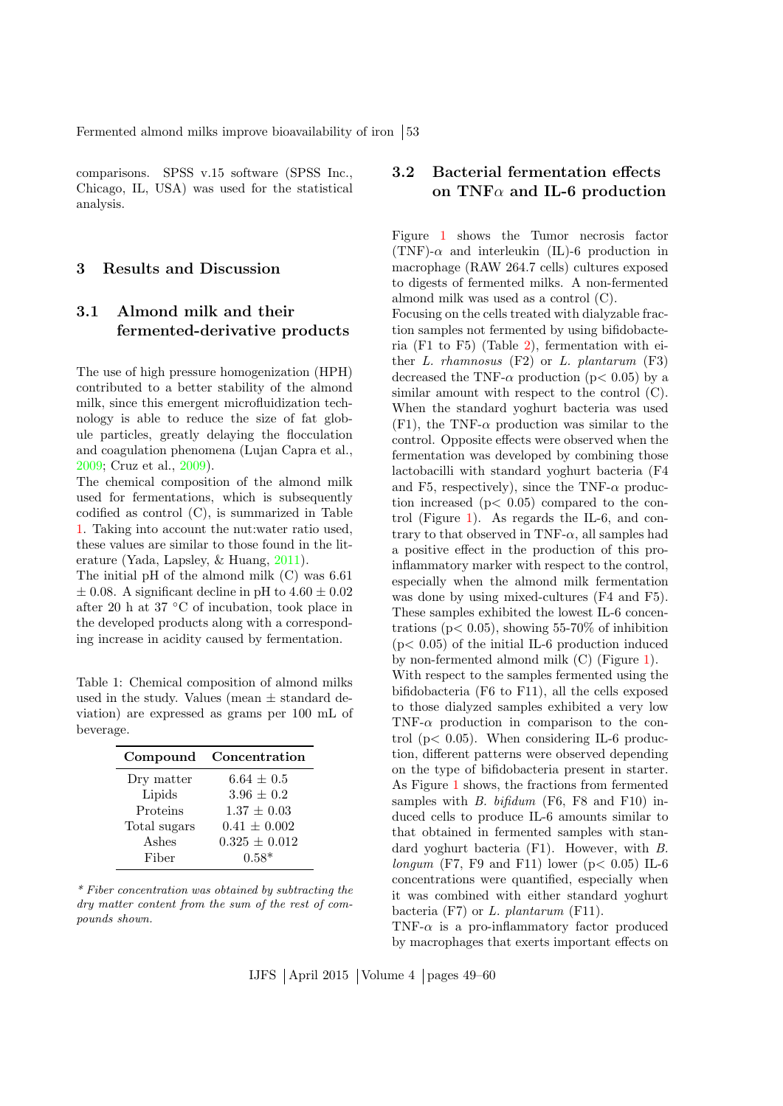Fermented almond milks improve bioavailability of iron [53]

comparisons. SPSS v.15 software (SPSS Inc., Chicago, IL, USA) was used for the statistical analysis.

#### 3 Results and Discussion

# 3.1 Almond milk and their fermented-derivative products

The use of high pressure homogenization (HPH) contributed to a better stability of the almond milk, since this emergent microfluidization technology is able to reduce the size of fat globule particles, greatly delaying the flocculation and coagulation phenomena (Lujan Capra et al., [2009;](#page-10-8) Cruz et al., [2009\)](#page-9-10).

The chemical composition of the almond milk used for fermentations, which is subsequently codified as control (C), is summarized in Table [1.](#page-4-0) Taking into account the nut:water ratio used, these values are similar to those found in the literature (Yada, Lapsley, & Huang, [2011\)](#page-11-4).

The initial pH of the almond milk (C) was 6.61  $\pm$  0.08. A significant decline in pH to 4.60  $\pm$  0.02 after 20 h at 37 ◦C of incubation, took place in the developed products along with a corresponding increase in acidity caused by fermentation.

<span id="page-4-0"></span>Table 1: Chemical composition of almond milks used in the study. Values (mean  $\pm$  standard deviation) are expressed as grams per 100 mL of beverage.

| Compound     | Concentration     |
|--------------|-------------------|
| Dry matter   | $6.64 \pm 0.5$    |
| Lipids       | $3.96 \pm 0.2$    |
| Proteins     | $1.37 \pm 0.03$   |
| Total sugars | $0.41 \pm 0.002$  |
| Ashes        | $0.325 \pm 0.012$ |
| Fiber        | $0.58*$           |

\* Fiber concentration was obtained by subtracting the dry matter content from the sum of the rest of compounds shown.

# 3.2 Bacterial fermentation effects on TNF $\alpha$  and IL-6 production

Figure [1](#page-5-1) shows the Tumor necrosis factor (TNF)- $\alpha$  and interleukin (IL)-6 production in macrophage (RAW 264.7 cells) cultures exposed to digests of fermented milks. A non-fermented almond milk was used as a control (C).

Focusing on the cells treated with dialyzable fraction samples not fermented by using bifidobacteria (F1 to F5) (Table [2\)](#page-5-0), fermentation with either  $L.$  rhamnosus  $(F2)$  or  $L.$  plantarum  $(F3)$ decreased the TNF- $\alpha$  production ( $p < 0.05$ ) by a similar amount with respect to the control (C). When the standard yoghurt bacteria was used  $(F1)$ , the TNF- $\alpha$  production was similar to the control. Opposite effects were observed when the fermentation was developed by combining those lactobacilli with standard yoghurt bacteria (F4 and F5, respectively), since the TNF- $\alpha$  production increased  $(p< 0.05)$  compared to the control (Figure [1\)](#page-5-1). As regards the IL-6, and contrary to that observed in TNF- $\alpha$ , all samples had a positive effect in the production of this proinflammatory marker with respect to the control, especially when the almond milk fermentation was done by using mixed-cultures (F4 and F5). These samples exhibited the lowest IL-6 concentrations ( $p < 0.05$ ), showing 55-70% of inhibition  $(p< 0.05)$  of the initial IL-6 production induced by non-fermented almond milk (C) (Figure [1\)](#page-5-1). With respect to the samples fermented using the bifidobacteria (F6 to F11), all the cells exposed to those dialyzed samples exhibited a very low TNF- $\alpha$  production in comparison to the control ( $p < 0.05$ ). When considering IL-6 production, different patterns were observed depending on the type of bifidobacteria present in starter. As Figure [1](#page-5-1) shows, the fractions from fermented samples with  $B.$  bifidum (F6, F8 and F10) induced cells to produce IL-6 amounts similar to that obtained in fermented samples with standard yoghurt bacteria (F1). However, with B. longum (F7, F9 and F11) lower ( $p < 0.05$ ) IL-6 concentrations were quantified, especially when it was combined with either standard yoghurt bacteria  $(F7)$  or L. plantarum  $(F11)$ .

TNF- $\alpha$  is a pro-inflammatory factor produced by macrophages that exerts important effects on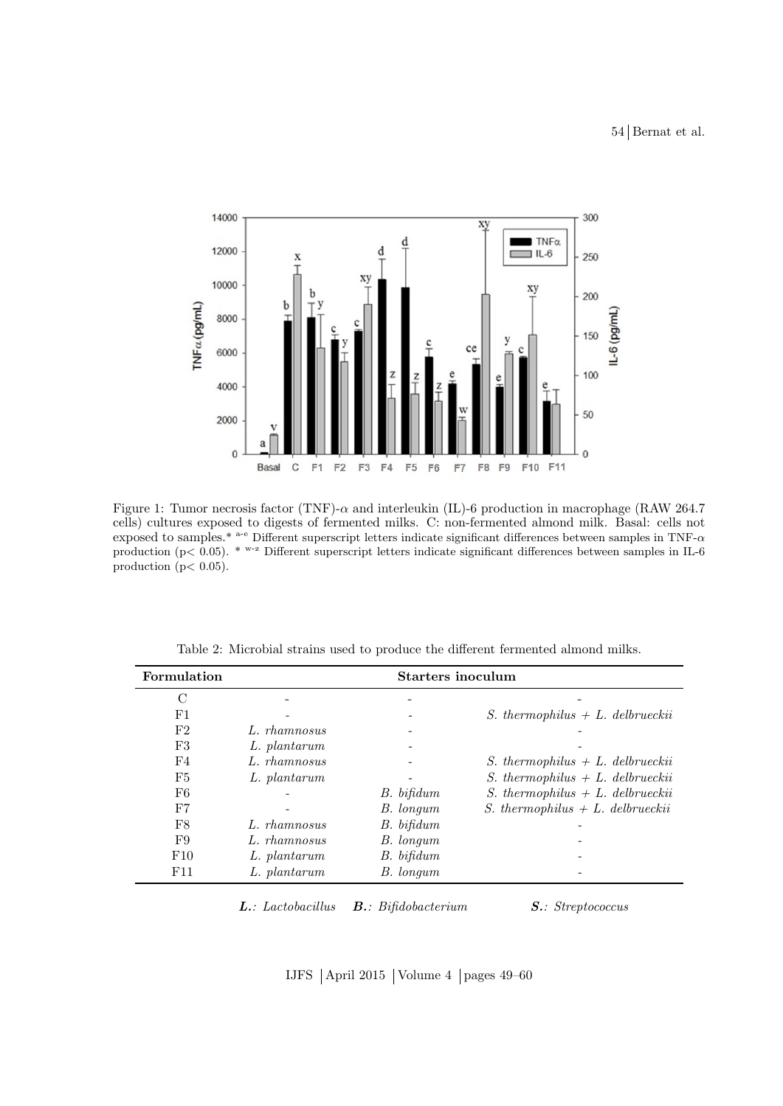54 Bernat et al.



<span id="page-5-1"></span>Figure 1: Tumor necrosis factor (TNF)- $\alpha$  and interleukin (IL)-6 production in macrophage (RAW 264.7) cells) cultures exposed to digests of fermented milks. C: non-fermented almond milk. Basal: cells not exposed to samples.\* a-e Different superscript letters indicate significant differences between samples in TNF-α production (p $< 0.05$ ). \*  $w-z$  Different superscript letters indicate significant differences between samples in IL-6 production ( $p < 0.05$ ).

| Formulation | <b>Starters inoculum</b> |            |                                            |
|-------------|--------------------------|------------|--------------------------------------------|
| C           |                          |            |                                            |
| F1          |                          |            | <i>S.</i> thermophilus $+ L$ . delbrueckii |
| F2          | L. rhamnosus             |            |                                            |
| F3          | L. plantarum             |            |                                            |
| F4          | L. rhamnosus             |            | <i>S.</i> thermophilus $+ L$ . delbrueckii |
| F5          | L. plantarum             |            | <i>S.</i> thermophilus $+ L$ . delbrueckii |
| F6          |                          | B. bifidum | S. thermophilus $+ L$ . delbrueckii        |
| F7          |                          | B. longum  | <i>S.</i> thermophilus $+ L$ . delbrueckii |
| F8          | L. rhamnosus             | B. bifidum |                                            |
| F9          | L. rhamnosus             | B. longum  |                                            |
| F10         | L. plantarum             | B. bifidum |                                            |
| F11         | L. plantarum             | B. longum  |                                            |

<span id="page-5-0"></span>Table 2: Microbial strains used to produce the different fermented almond milks.

**L.**: Lactobacillus **B.**: Bifidobacterium **S.**: Streptococcus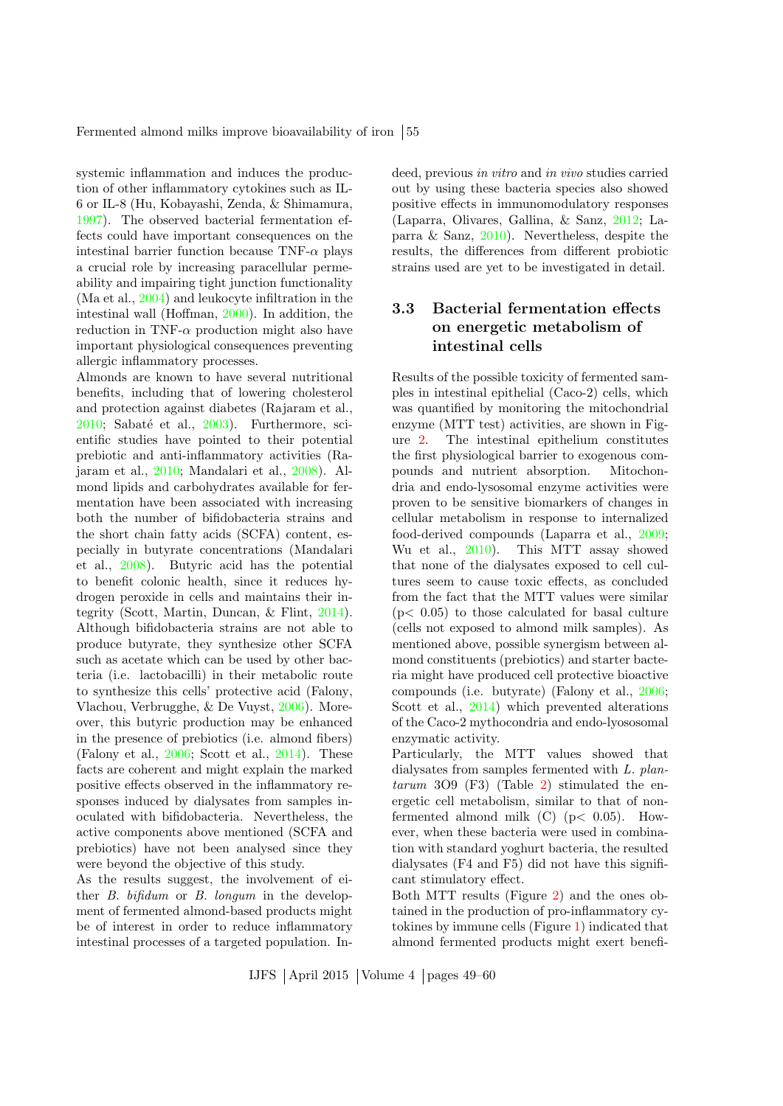systemic inflammation and induces the production of other inflammatory cytokines such as IL-6 or IL-8 (Hu, Kobayashi, Zenda, & Shimamura, [1997\)](#page-10-9). The observed bacterial fermentation effects could have important consequences on the intestinal barrier function because  $TNF-\alpha$  plays a crucial role by increasing paracellular permeability and impairing tight junction functionality (Ma et al., [2004\)](#page-10-10) and leukocyte infiltration in the intestinal wall (Hoffman, [2000\)](#page-9-11). In addition, the reduction in TNF- $\alpha$  production might also have important physiological consequences preventing allergic inflammatory processes.

Almonds are known to have several nutritional benefits, including that of lowering cholesterol and protection against diabetes (Rajaram et al.,  $2010$ ; Sabaté et al.,  $2003$ ). Furthermore, scientific studies have pointed to their potential prebiotic and anti-inflammatory activities (Rajaram et al., [2010;](#page-11-2) Mandalari et al., [2008\)](#page-10-4). Almond lipids and carbohydrates available for fermentation have been associated with increasing both the number of bifidobacteria strains and the short chain fatty acids (SCFA) content, especially in butyrate concentrations (Mandalari et al., [2008\)](#page-10-4). Butyric acid has the potential to benefit colonic health, since it reduces hydrogen peroxide in cells and maintains their integrity (Scott, Martin, Duncan, & Flint, [2014\)](#page-11-5). Although bifidobacteria strains are not able to produce butyrate, they synthesize other SCFA such as acetate which can be used by other bacteria (i.e. lactobacilli) in their metabolic route to synthesize this cells' protective acid (Falony, Vlachou, Verbrugghe, & De Vuyst, [2006\)](#page-9-12). Moreover, this butyric production may be enhanced in the presence of prebiotics (i.e. almond fibers) (Falony et al., [2006;](#page-9-12) Scott et al., [2014\)](#page-11-5). These facts are coherent and might explain the marked positive effects observed in the inflammatory responses induced by dialysates from samples inoculated with bifidobacteria. Nevertheless, the active components above mentioned (SCFA and prebiotics) have not been analysed since they were beyond the objective of this study.

As the results suggest, the involvement of either B. bifidum or B. longum in the development of fermented almond-based products might be of interest in order to reduce inflammatory intestinal processes of a targeted population. Indeed, previous in vitro and in vivo studies carried out by using these bacteria species also showed positive effects in immunomodulatory responses (Laparra, Olivares, Gallina, & Sanz, [2012;](#page-10-11) Laparra & Sanz, [2010\)](#page-10-12). Nevertheless, despite the results, the differences from different probiotic strains used are yet to be investigated in detail.

# 3.3 Bacterial fermentation effects on energetic metabolism of intestinal cells

Results of the possible toxicity of fermented samples in intestinal epithelial (Caco-2) cells, which was quantified by monitoring the mitochondrial enzyme (MTT test) activities, are shown in Figure [2.](#page-7-0) The intestinal epithelium constitutes the first physiological barrier to exogenous compounds and nutrient absorption. Mitochondria and endo-lysosomal enzyme activities were proven to be sensitive biomarkers of changes in cellular metabolism in response to internalized food-derived compounds (Laparra et al., [2009;](#page-10-7) Wu et al., [2010\)](#page-11-6). This MTT assay showed that none of the dialysates exposed to cell cultures seem to cause toxic effects, as concluded from the fact that the MTT values were similar  $(p< 0.05)$  to those calculated for basal culture (cells not exposed to almond milk samples). As mentioned above, possible synergism between almond constituents (prebiotics) and starter bacteria might have produced cell protective bioactive compounds (i.e. butyrate) (Falony et al., [2006;](#page-9-12) Scott et al., [2014\)](#page-11-5) which prevented alterations of the Caco-2 mythocondria and endo-lyososomal enzymatic activity.

Particularly, the MTT values showed that dialysates from samples fermented with L. plan- $\textit{tarum}$  309 (F3) (Table [2\)](#page-5-0) stimulated the energetic cell metabolism, similar to that of nonfermented almond milk  $(C)$   $(p< 0.05)$ . However, when these bacteria were used in combination with standard yoghurt bacteria, the resulted dialysates (F4 and F5) did not have this significant stimulatory effect.

Both MTT results (Figure [2\)](#page-7-0) and the ones obtained in the production of pro-inflammatory cytokines by immune cells (Figure [1\)](#page-5-1) indicated that almond fermented products might exert benefi-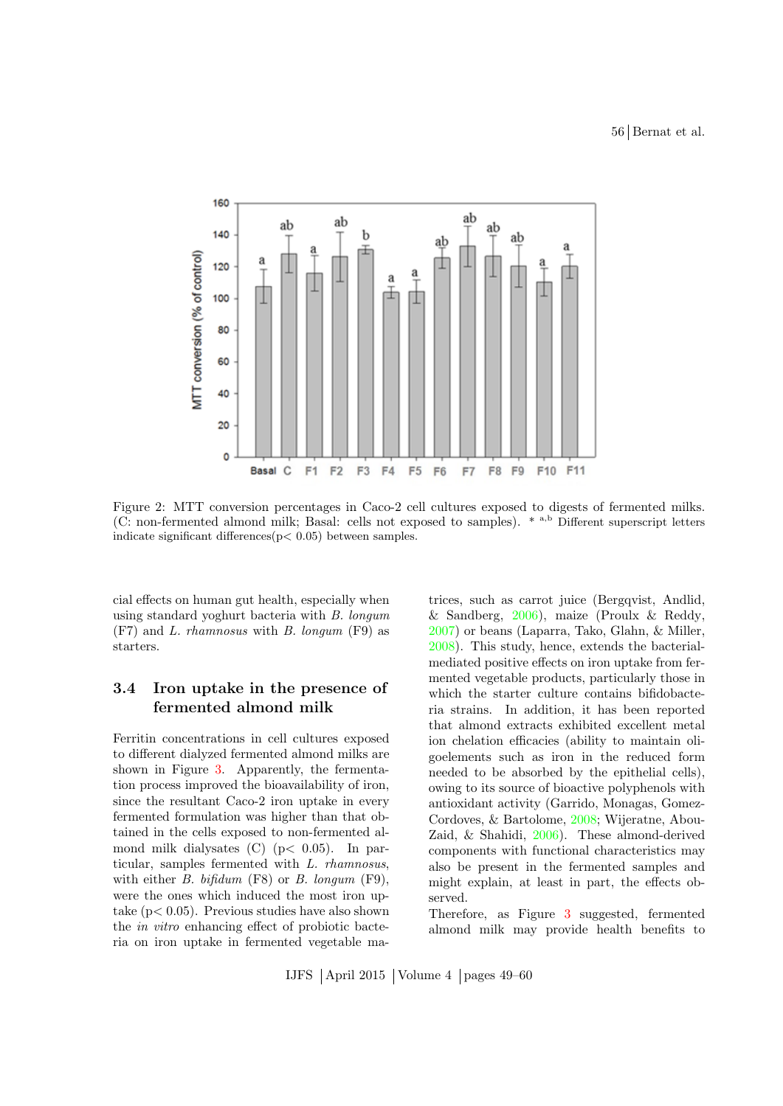56 Bernat et al.



<span id="page-7-0"></span>Figure 2: MTT conversion percentages in Caco-2 cell cultures exposed to digests of fermented milks. (C: non-fermented almond milk; Basal: cells not exposed to samples). \* a,b Different superscript letters indicate significant differences $(p < 0.05)$  between samples.

cial effects on human gut health, especially when using standard yoghurt bacteria with B. longum (F7) and L. rhamnosus with B. longum (F9) as starters.

# 3.4 Iron uptake in the presence of fermented almond milk

Ferritin concentrations in cell cultures exposed to different dialyzed fermented almond milks are shown in Figure [3.](#page-8-0) Apparently, the fermentation process improved the bioavailability of iron, since the resultant Caco-2 iron uptake in every fermented formulation was higher than that obtained in the cells exposed to non-fermented almond milk dialysates  $(C)$  ( $p < 0.05$ ). In particular, samples fermented with L. rhamnosus, with either  $B.$  bifidum (F8) or  $B.$  longum (F9), were the ones which induced the most iron uptake  $(p< 0.05)$ . Previous studies have also shown the in vitro enhancing effect of probiotic bacteria on iron uptake in fermented vegetable matrices, such as carrot juice (Bergqvist, Andlid, & Sandberg, [2006\)](#page-9-13), maize (Proulx & Reddy, [2007\)](#page-10-13) or beans (Laparra, Tako, Glahn, & Miller, [2008\)](#page-10-14). This study, hence, extends the bacterialmediated positive effects on iron uptake from fermented vegetable products, particularly those in which the starter culture contains bifidobacteria strains. In addition, it has been reported that almond extracts exhibited excellent metal ion chelation efficacies (ability to maintain oligoelements such as iron in the reduced form needed to be absorbed by the epithelial cells), owing to its source of bioactive polyphenols with antioxidant activity (Garrido, Monagas, Gomez-Cordoves, & Bartolome, [2008;](#page-9-14) Wijeratne, Abou-Zaid, & Shahidi, [2006\)](#page-11-7). These almond-derived components with functional characteristics may also be present in the fermented samples and might explain, at least in part, the effects observed.

Therefore, as Figure [3](#page-8-0) suggested, fermented almond milk may provide health benefits to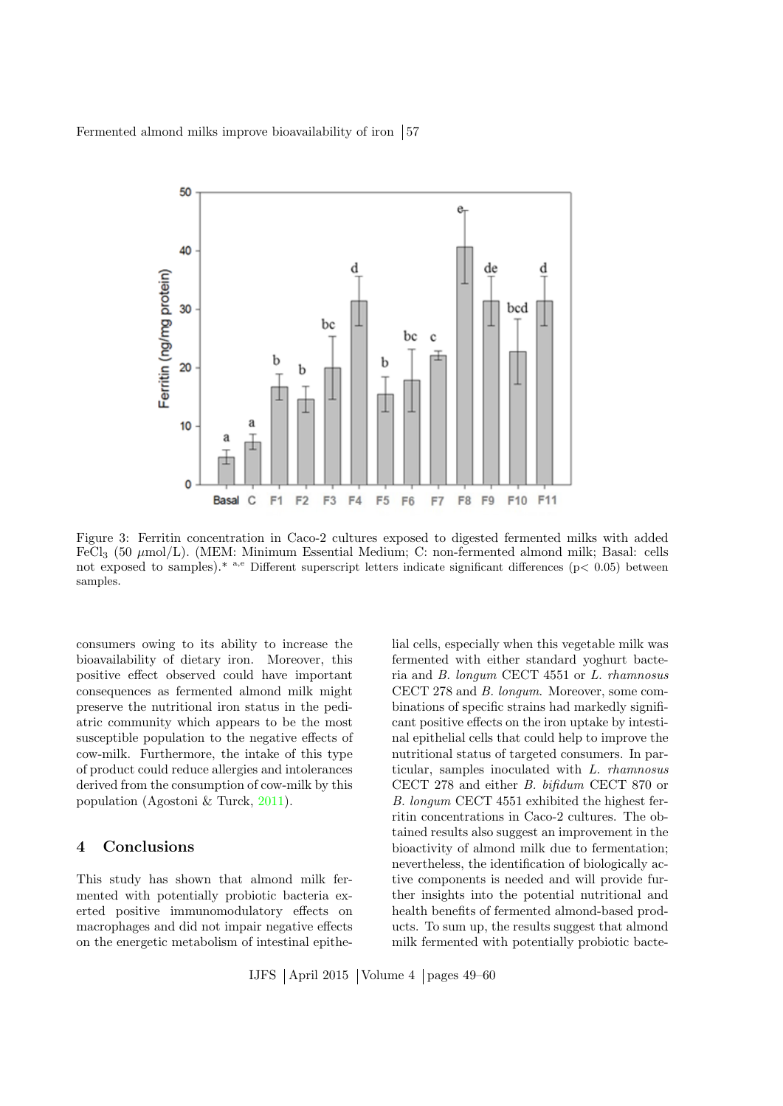Fermented almond milks improve bioavailability of iron  $|57|$ 



<span id="page-8-0"></span>Figure 3: Ferritin concentration in Caco-2 cultures exposed to digested fermented milks with added FeCl<sub>3</sub> (50  $\mu$ mol/L). (MEM: Minimum Essential Medium; C: non-fermented almond milk; Basal: cells not exposed to samples).<sup>\*</sup> a,e Different superscript letters indicate significant differences (p< 0.05) between samples.

consumers owing to its ability to increase the bioavailability of dietary iron. Moreover, this positive effect observed could have important consequences as fermented almond milk might preserve the nutritional iron status in the pediatric community which appears to be the most susceptible population to the negative effects of cow-milk. Furthermore, the intake of this type of product could reduce allergies and intolerances derived from the consumption of cow-milk by this population (Agostoni & Turck, [2011\)](#page-9-4).

#### 4 Conclusions

This study has shown that almond milk fermented with potentially probiotic bacteria exerted positive immunomodulatory effects on macrophages and did not impair negative effects on the energetic metabolism of intestinal epithelial cells, especially when this vegetable milk was fermented with either standard yoghurt bacteria and B. longum CECT 4551 or L. rhamnosus CECT 278 and B. longum. Moreover, some combinations of specific strains had markedly significant positive effects on the iron uptake by intestinal epithelial cells that could help to improve the nutritional status of targeted consumers. In particular, samples inoculated with L. rhamnosus CECT 278 and either B. bifidum CECT 870 or B. longum CECT 4551 exhibited the highest ferritin concentrations in Caco-2 cultures. The obtained results also suggest an improvement in the bioactivity of almond milk due to fermentation; nevertheless, the identification of biologically active components is needed and will provide further insights into the potential nutritional and health benefits of fermented almond-based products. To sum up, the results suggest that almond milk fermented with potentially probiotic bacte-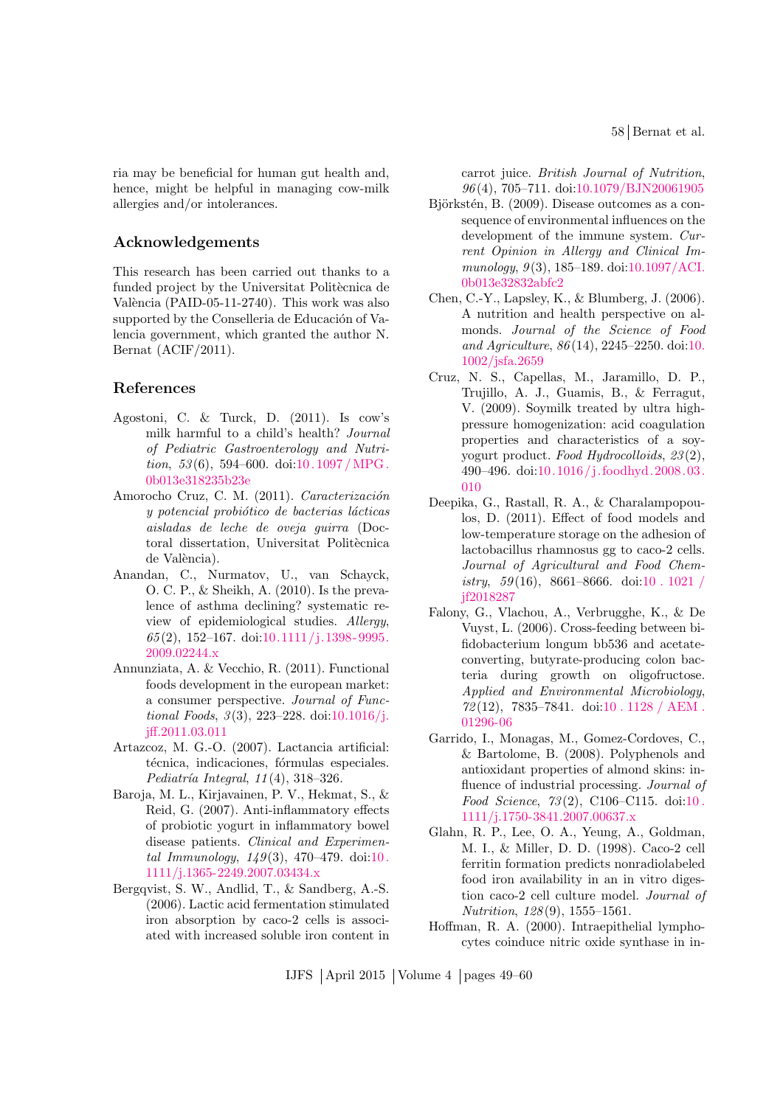58 Bernat et al.

ria may be beneficial for human gut health and, hence, might be helpful in managing cow-milk allergies and/or intolerances.

# Acknowledgements

This research has been carried out thanks to a funded project by the Universitat Politècnica de València (PAID-05-11-2740). This work was also supported by the Conselleria de Educación of Valencia government, which granted the author N. Bernat (ACIF/2011).

### References

- <span id="page-9-4"></span>Agostoni, C. & Turck, D. (2011). Is cow's milk harmful to a child's health? Journal of Pediatric Gastroenterology and Nutrition,  $53(6)$ , 594–600. doi:10.1097/MPG. [0b013e318235b23e](http://dx.doi.org/10.1097/MPG.0b013e318235b23e)
- <span id="page-9-9"></span>Amorocho Cruz, C. M. (2011). Caracterización  $y$  potencial probiótico de bacterias lácticas aisladas de leche de oveja guirra (Doctoral dissertation, Universitat Politècnica de València).
- <span id="page-9-1"></span>Anandan, C., Nurmatov, U., van Schayck, O. C. P., & Sheikh, A. (2010). Is the prevalence of asthma declining? systematic review of epidemiological studies. Allergy,  $65(2)$ , 152-167. doi:10.1111/j.1398-9995. [2009.02244.x](http://dx.doi.org/10.1111/j.1398-9995.2009.02244.x)
- <span id="page-9-2"></span>Annunziata, A. & Vecchio, R. (2011). Functional foods development in the european market: a consumer perspective. Journal of Functional Foods,  $3(3)$ , 223-228. doi[:10.1016/j.](http://dx.doi.org/10.1016/j.jff.2011.03.011) [jff.2011.03.011](http://dx.doi.org/10.1016/j.jff.2011.03.011)
- <span id="page-9-5"></span>Artazcoz, M. G.-O. (2007). Lactancia artificial: técnica, indicaciones, fórmulas especiales. Pediatría Integral,  $11(4)$ ,  $318-326$ .
- <span id="page-9-3"></span>Baroja, M. L., Kirjavainen, P. V., Hekmat, S., & Reid, G. (2007). Anti-inflammatory effects of probiotic yogurt in inflammatory bowel disease patients. Clinical and Experimental Immunology,  $149(3)$ ,  $470-479$ . doi:10. [1111/j.1365-2249.2007.03434.x](http://dx.doi.org/10.1111/j.1365-2249.2007.03434.x)
- <span id="page-9-13"></span>Bergqvist, S. W., Andlid, T., & Sandberg, A.-S. (2006). Lactic acid fermentation stimulated iron absorption by caco-2 cells is associated with increased soluble iron content in

carrot juice. British Journal of Nutrition, 96 (4), 705–711. doi[:10.1079/BJN20061905](http://dx.doi.org/10.1079/BJN20061905)

- <span id="page-9-0"></span>Björkstén, B. (2009). Disease outcomes as a consequence of environmental influences on the development of the immune system. Current Opinion in Allergy and Clinical Immunology,  $9(3)$ , 185–189. doi[:10.1097/ACI.](http://dx.doi.org/10.1097/ACI.0b013e32832abfc2) [0b013e32832abfc2](http://dx.doi.org/10.1097/ACI.0b013e32832abfc2)
- <span id="page-9-6"></span>Chen, C.-Y., Lapsley, K., & Blumberg, J. (2006). A nutrition and health perspective on almonds. Journal of the Science of Food and Agriculture, 86 (14), 2245–2250. doi[:10.](http://dx.doi.org/10.1002/jsfa.2659) [1002/jsfa.2659](http://dx.doi.org/10.1002/jsfa.2659)
- <span id="page-9-10"></span>Cruz, N. S., Capellas, M., Jaramillo, D. P., Trujillo, A. J., Guamis, B., & Ferragut, V. (2009). Soymilk treated by ultra highpressure homogenization: acid coagulation properties and characteristics of a soyyogurt product. Food Hydrocolloids, 23 (2), 490–496. doi[:10.1016/ j. foodhyd.2008.03.](http://dx.doi.org/10.1016/j.foodhyd.2008.03.010) [010](http://dx.doi.org/10.1016/j.foodhyd.2008.03.010)
- <span id="page-9-8"></span>Deepika, G., Rastall, R. A., & Charalampopoulos, D. (2011). Effect of food models and low-temperature storage on the adhesion of lactobacillus rhamnosus gg to caco-2 cells. Journal of Agricultural and Food Chemistry,  $59(16)$ , 8661–8666. doi[:10 . 1021 /](http://dx.doi.org/10.1021/jf2018287) [jf2018287](http://dx.doi.org/10.1021/jf2018287)
- <span id="page-9-12"></span>Falony, G., Vlachou, A., Verbrugghe, K., & De Vuyst, L. (2006). Cross-feeding between bifidobacterium longum bb536 and acetateconverting, butyrate-producing colon bacteria during growth on oligofructose. Applied and Environmental Microbiology, 72 (12), 7835–7841. doi[:10 . 1128 / AEM .](http://dx.doi.org/10.1128/AEM.01296-06) [01296-06](http://dx.doi.org/10.1128/AEM.01296-06)
- <span id="page-9-14"></span>Garrido, I., Monagas, M., Gomez-Cordoves, C., & Bartolome, B. (2008). Polyphenols and antioxidant properties of almond skins: influence of industrial processing. Journal of Food Science, 73 (2), C106–C115. doi[:10 .](http://dx.doi.org/10.1111/j.1750-3841.2007.00637.x) [1111/j.1750-3841.2007.00637.x](http://dx.doi.org/10.1111/j.1750-3841.2007.00637.x)
- <span id="page-9-7"></span>Glahn, R. P., Lee, O. A., Yeung, A., Goldman, M. I., & Miller, D. D. (1998). Caco-2 cell ferritin formation predicts nonradiolabeled food iron availability in an in vitro digestion caco-2 cell culture model. Journal of Nutrition, 128 (9), 1555–1561.
- <span id="page-9-11"></span>Hoffman, R. A. (2000). Intraepithelial lymphocytes coinduce nitric oxide synthase in in-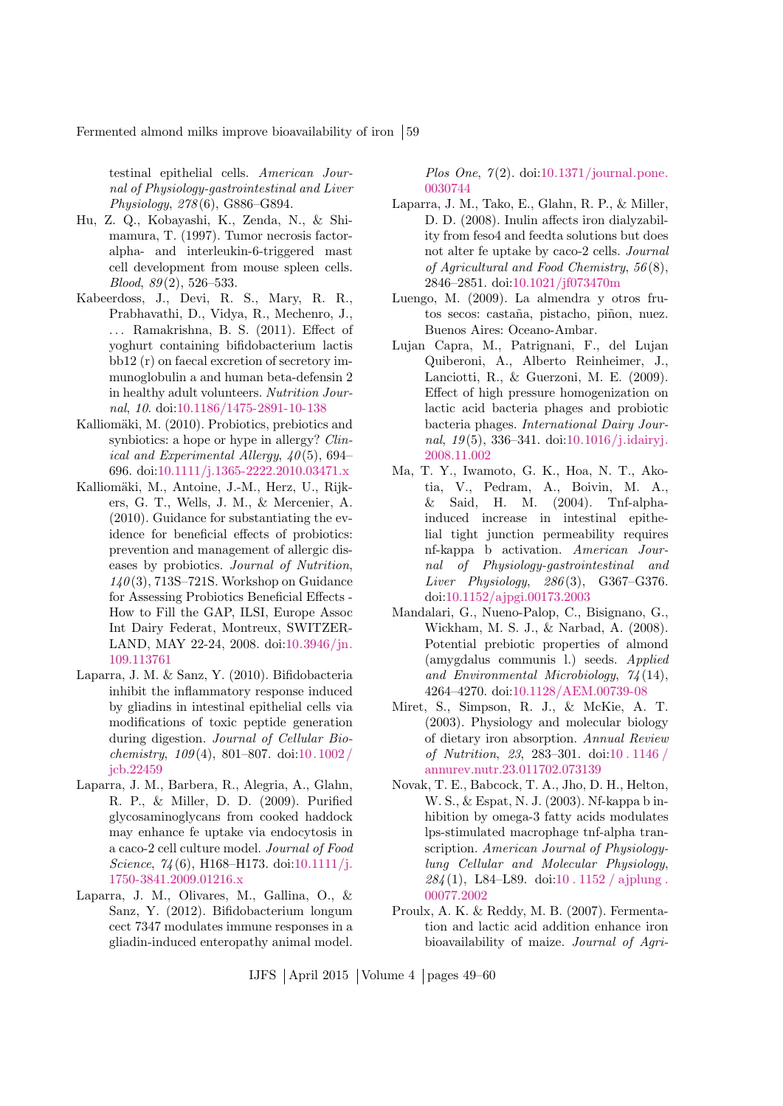Fermented almond milks improve bioavailability of iron [59]

testinal epithelial cells. American Journal of Physiology-gastrointestinal and Liver Physiology, 278 (6), G886–G894.

- <span id="page-10-9"></span>Hu, Z. Q., Kobayashi, K., Zenda, N., & Shimamura, T. (1997). Tumor necrosis factoralpha- and interleukin-6-triggered mast cell development from mouse spleen cells.  $Blood, 89(2), 526-533.$
- <span id="page-10-6"></span>Kabeerdoss, J., Devi, R. S., Mary, R. R., Prabhavathi, D., Vidya, R., Mechenro, J., . . . Ramakrishna, B. S. (2011). Effect of yoghurt containing bifidobacterium lactis bb12 (r) on faecal excretion of secretory immunoglobulin a and human beta-defensin 2 in healthy adult volunteers. Nutrition Journal, 10. doi[:10.1186/1475-2891-10-138](http://dx.doi.org/10.1186/1475-2891-10-138)
- <span id="page-10-0"></span>Kalliomäki, M. (2010). Probiotics, prebiotics and synbiotics: a hope or hype in allergy? Clinical and Experimental Allergy,  $\angle 40(5)$ , 694– 696. doi[:10.1111/j.1365-2222.2010.03471.x](http://dx.doi.org/10.1111/j.1365-2222.2010.03471.x)
- <span id="page-10-1"></span>Kalliomäki, M., Antoine, J.-M., Herz, U., Rijkers, G. T., Wells, J. M., & Mercenier, A. (2010). Guidance for substantiating the evidence for beneficial effects of probiotics: prevention and management of allergic diseases by probiotics. Journal of Nutrition,  $140(3)$ , 713S-721S. Workshop on Guidance for Assessing Probiotics Beneficial Effects - How to Fill the GAP, ILSI, Europe Assoc Int Dairy Federat, Montreux, SWITZER-LAND, MAY 22-24, 2008. doi[:10.3946/jn.](http://dx.doi.org/10.3946/jn.109.113761) [109.113761](http://dx.doi.org/10.3946/jn.109.113761)
- <span id="page-10-12"></span>Laparra, J. M. & Sanz, Y. (2010). Bifidobacteria inhibit the inflammatory response induced by gliadins in intestinal epithelial cells via modifications of toxic peptide generation during digestion. Journal of Cellular Biochemistry,  $109(4)$ , 801–807. doi:10.1002/ [jcb.22459](http://dx.doi.org/10.1002/jcb.22459)
- <span id="page-10-7"></span>Laparra, J. M., Barbera, R., Alegria, A., Glahn, R. P., & Miller, D. D. (2009). Purified glycosaminoglycans from cooked haddock may enhance fe uptake via endocytosis in a caco-2 cell culture model. Journal of Food Science,  $74(6)$ , H168-H173. doi[:10.1111/j.](http://dx.doi.org/10.1111/j.1750-3841.2009.01216.x) [1750-3841.2009.01216.x](http://dx.doi.org/10.1111/j.1750-3841.2009.01216.x)
- <span id="page-10-11"></span>Laparra, J. M., Olivares, M., Gallina, O., & Sanz, Y. (2012). Bifidobacterium longum cect 7347 modulates immune responses in a gliadin-induced enteropathy animal model.

Plos One,  $7(2)$ . doi[:10.1371/journal.pone.](http://dx.doi.org/10.1371/journal.pone.0030744) [0030744](http://dx.doi.org/10.1371/journal.pone.0030744)

- <span id="page-10-14"></span>Laparra, J. M., Tako, E., Glahn, R. P., & Miller, D. D. (2008). Inulin affects iron dialyzability from feso4 and feedta solutions but does not alter fe uptake by caco-2 cells. Journal of Agricultural and Food Chemistry, 56 (8), 2846–2851. doi[:10.1021/jf073470m](http://dx.doi.org/10.1021/jf073470m)
- <span id="page-10-3"></span>Luengo, M. (2009). La almendra y otros frutos secos: castaña, pistacho, piñon, nuez. Buenos Aires: Oceano-Ambar.
- <span id="page-10-8"></span>Lujan Capra, M., Patrignani, F., del Lujan Quiberoni, A., Alberto Reinheimer, J., Lanciotti, R., & Guerzoni, M. E. (2009). Effect of high pressure homogenization on lactic acid bacteria phages and probiotic bacteria phages. International Dairy Journal,  $19(5)$ ,  $336-341$ . doi[:10.1016/j.idairyj.](http://dx.doi.org/10.1016/j.idairyj.2008.11.002) [2008.11.002](http://dx.doi.org/10.1016/j.idairyj.2008.11.002)
- <span id="page-10-10"></span>Ma, T. Y., Iwamoto, G. K., Hoa, N. T., Akotia, V., Pedram, A., Boivin, M. A., & Said, H. M. (2004). Tnf-alphainduced increase in intestinal epithelial tight junction permeability requires nf-kappa b activation. American Journal of Physiology-gastrointestinal and Liver Physiology,  $286(3)$ , G367-G376. doi[:10.1152/ajpgi.00173.2003](http://dx.doi.org/10.1152/ajpgi.00173.2003)
- <span id="page-10-4"></span>Mandalari, G., Nueno-Palop, C., Bisignano, G., Wickham, M. S. J., & Narbad, A. (2008). Potential prebiotic properties of almond (amygdalus communis l.) seeds. Applied and Environmental Microbiology, 74 (14), 4264–4270. doi[:10.1128/AEM.00739-08](http://dx.doi.org/10.1128/AEM.00739-08)
- <span id="page-10-2"></span>Miret, S., Simpson, R. J., & McKie, A. T. (2003). Physiology and molecular biology of dietary iron absorption. Annual Review of Nutrition, 23, 283–301. doi[:10 . 1146 /](http://dx.doi.org/10.1146/annurev.nutr.23.011702.073139) [annurev.nutr.23.011702.073139](http://dx.doi.org/10.1146/annurev.nutr.23.011702.073139)
- <span id="page-10-5"></span>Novak, T. E., Babcock, T. A., Jho, D. H., Helton, W. S., & Espat, N. J. (2003). Nf-kappa b inhibition by omega-3 fatty acids modulates lps-stimulated macrophage tnf-alpha transcription. American Journal of Physiologylung Cellular and Molecular Physiology,  $284(1)$ , L84–L89. doi:10.1152 / ajplung. [00077.2002](http://dx.doi.org/10.1152/ajplung.00077.2002)
- <span id="page-10-13"></span>Proulx, A. K. & Reddy, M. B. (2007). Fermentation and lactic acid addition enhance iron bioavailability of maize. Journal of Agri-